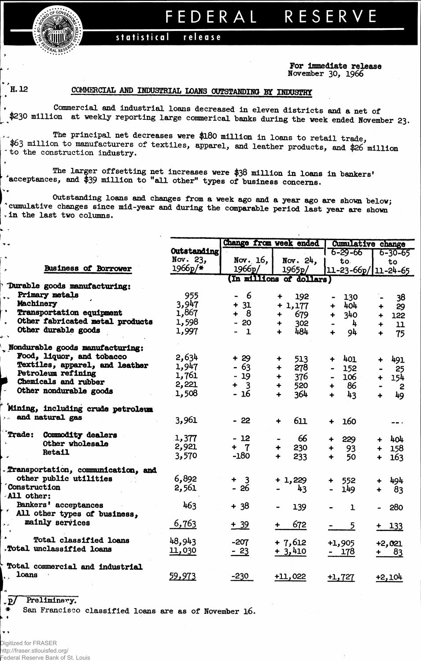FEDERAL RESERVE

## release statistical

**For Immediate release** November 30, **1966**

×.

## **H. 12 COMMERCIAL AND INDUSTRIAL LOANS OUTSTANDING BY INDUSTRY**

Commercial and industrial loans decreased in eleven districts and a net of \$230 million at weekly reporting large commerical banks during the week ended November 23.

The principal net decreases were \$180 million in loans to retail trade, **\$63**million to manufacturers of textiles, apparel, and leather products, and **\$26** million to the construction industry.

The larger offsetting net increases were **\$38** million in loans in bankers' deceptances, and \$39 million to "all other" types of business concerns.

Outstanding loans and changes from a week ago and a year ago are shown below; \* cumulative changes since mid-year and during the comparable period last year are shown in the last two columns.

|            |                                    |             |            | Change from week ended   | <b>Cumulative change</b>       |                            |  |  |
|------------|------------------------------------|-------------|------------|--------------------------|--------------------------------|----------------------------|--|--|
|            |                                    | Outstanding |            |                          | $6 - 29 - 66$                  | $6 - 30 - 65$              |  |  |
|            |                                    | Nov. 23,    | Nov. $16,$ | Nov. 24,                 | to.                            | to                         |  |  |
|            | <b>Business of Borrower</b>        | $1966p/*$   | 1966p/     | 1965p/                   | $11 - 23 - 66p / 11 - 24 - 65$ |                            |  |  |
|            |                                    |             |            | (In millions of dollars) |                                |                            |  |  |
|            | Durable goods manufacturing:       |             |            |                          |                                |                            |  |  |
|            | Primary metals                     | 955         | - 6        | 192<br>╇                 | 130                            | 38                         |  |  |
|            | Machinery                          | 3,947       | $+ 31$     | $+1,177$                 | 404<br>$\ddot{}$               | 29<br>+                    |  |  |
|            | Transportation equipment           | 1,867       | $+ 8$      | 679<br>╈                 | 340<br>╋                       | 122                        |  |  |
|            | Other fabricated metal products    | 1,598       | $-20$      | 302<br>┿                 | 4                              | 11<br>$\ddot{+}$           |  |  |
|            | Other durable goods                | 1,997       | $-1$       | 484<br>÷                 | 94                             | 75                         |  |  |
|            | Nondurable goods manufacturing:    |             |            |                          |                                |                            |  |  |
|            | Food, liquor, and tobacco          | 2,634       | $+29$      | 513<br>÷                 | 401<br>╈                       | 491                        |  |  |
|            | Textiles, apparel, and leather     | 1,947       | $-63$      | 278<br>┿                 | 152<br>$\blacksquare$          | 25                         |  |  |
|            | Petroleum refining                 | 1,761       | $-19$      | 376<br>٠                 | 106                            | 154                        |  |  |
|            | Chemicals and rubber               | 2,221       | $+ 3$      | 520<br>4                 | 86<br>$\ddotmark$              |                            |  |  |
|            | Other nondurable goods             | 1,508       | - 16       | 364<br>$\ddotmark$       | 43<br>÷                        | $\overline{c}$             |  |  |
|            |                                    |             |            |                          |                                | 49                         |  |  |
|            | Mining, including crude petroleum  |             |            |                          |                                |                            |  |  |
|            | $\rightarrow$ and natural gas      | 3,961       | $-22$      | 611<br>$\ddot{\bullet}$  | 160<br>÷                       |                            |  |  |
| Trade:     | Commodity dealers                  |             |            |                          |                                |                            |  |  |
|            | Other wholesale                    | 1,377       | $-12$      | 66                       | 229<br>۰                       | 404<br>╇                   |  |  |
|            | <b>Retail</b>                      | 2,921       | $+ 7$      | 230<br>٠                 | 93<br>$\ddot{}$                | 158<br>╈                   |  |  |
|            |                                    | 3,570       | $-180$     | 233<br>$\ddotmark$       | 50                             | 163<br>┿                   |  |  |
|            | Transportation, communication, and |             |            |                          |                                |                            |  |  |
|            | other public utilities             | 6,892       | $+ 3$      | $+1,229$                 | 552<br>+                       | 494                        |  |  |
|            | <b>Construction</b>                | 2,561       | $-26$      | 43                       | 149                            | 83<br>$\ddot{\phantom{1}}$ |  |  |
| All other: |                                    |             |            |                          |                                |                            |  |  |
|            | Bankers' acceptances               | 463         | $+38$      | 139                      | $\mathbf{1}$                   | 280                        |  |  |
|            | ' All other types of business,     |             |            |                          |                                |                            |  |  |
|            | mainly services                    | 6,763       | $+ 39$     | 672<br>┿                 | 5                              | $+ 133$                    |  |  |
|            |                                    |             |            |                          |                                |                            |  |  |
|            | Total classified loans             | 48,943      | $-207$     | $+7,612$                 | $+1,905$                       | $+2,021$                   |  |  |
|            | .Total unclassified loans          | 11,030      | $-23$      | $+3,410$                 | - 178                          | 83                         |  |  |
|            |                                    |             |            |                          |                                |                            |  |  |
|            | Total commercial and industrial    |             |            |                          |                                |                            |  |  |
| loans      |                                    | 59,973      | $-230$     | $+11,022$                | $+1,727$                       | +2,104                     |  |  |
|            |                                    |             |            |                          |                                |                            |  |  |

p/ Preliminary.

\* San Francisco classified loans are as of November 16.

 $\mathbf{v}$